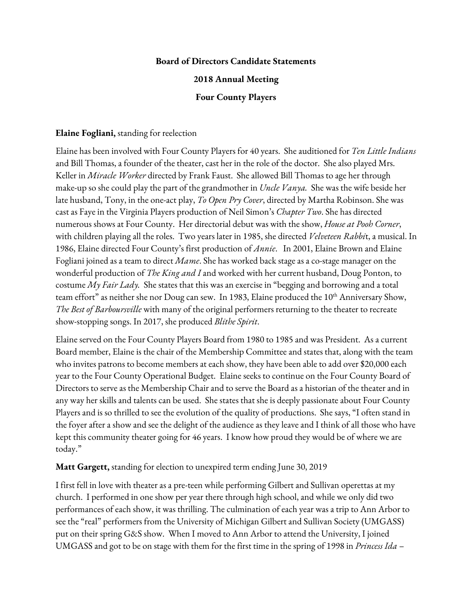### **Board of Directors Candidate Statements**

### **2018 Annual Meeting**

#### **Four County Players**

#### **Elaine Fogliani,** standing for reelection

Elaine has been involved with Four County Players for 40 years. She auditioned for *Ten Little Indians* and Bill Thomas, a founder of the theater, cast her in the role of the doctor. She also played Mrs. Keller in *Miracle Worker* directed by Frank Faust. She allowed Bill Thomas to age her through make-up so she could play the part of the grandmother in *Uncle Vanya.* She was the wife beside her late husband, Tony, in the one-act play, *To Open Pry Cover*, directed by Martha Robinson. She was cast as Faye in the Virginia Players production of Neil Simon's *Chapter Two*. She has directed numerous shows at Four County. Her directorial debut was with the show, *House at Pooh Corner*, with children playing all the roles. Two years later in 1985, she directed *Velveteen Rabbi*t, a musical. In 1986, Elaine directed Four County's first production of *Annie*. In 2001, Elaine Brown and Elaine Fogliani joined as a team to direct *Mame*. She has worked back stage as a co-stage manager on the wonderful production of *The King and I* and worked with her current husband, Doug Ponton, to costume *My Fair Lady.* She states that this was an exercise in "begging and borrowing and a total team effort" as neither she nor Doug can sew. In 1983, Elaine produced the  $10^{\text{th}}$  Anniversary Show, *The Best of Barboursville* with many of the original performers returning to the theater to recreate show-stopping songs. In 2017, she produced *Blithe Spirit*.

Elaine served on the Four County Players Board from 1980 to 1985 and was President. As a current Board member, Elaine is the chair of the Membership Committee and states that, along with the team who invites patrons to become members at each show, they have been able to add over \$20,000 each year to the Four County Operational Budget. Elaine seeks to continue on the Four County Board of Directors to serve as the Membership Chair and to serve the Board as a historian of the theater and in any way her skills and talents can be used. She states that she is deeply passionate about Four County Players and is so thrilled to see the evolution of the quality of productions. She says, "I often stand in the foyer after a show and see the delight of the audience as they leave and I think of all those who have kept this community theater going for 46 years. I know how proud they would be of where we are today."

### **Matt Gargett,** standing for election to unexpired term ending June 30, 2019

I first fell in love with theater as a pre-teen while performing Gilbert and Sullivan operettas at my church. I performed in one show per year there through high school, and while we only did two performances of each show, it was thrilling. The culmination of each year was a trip to Ann Arbor to see the "real" performers from the University of Michigan Gilbert and Sullivan Society (UMGASS) put on their spring G&S show. When I moved to Ann Arbor to attend the University, I joined UMGASS and got to be on stage with them for the first time in the spring of 1998 in *Princess Ida* –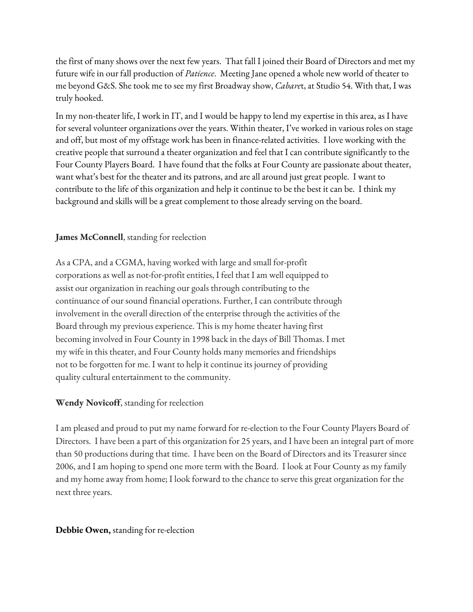the first of many shows over the next few years. That fall I joined their Board of Directors and met my future wife in our fall production of *Patience*. Meeting Jane opened a whole new world of theater to me beyond G&S. She took me to see my first Broadway show, *Cabare*t, at Studio 54. With that, I was truly hooked.

In my non-theater life, I work in IT, and I would be happy to lend my expertise in this area, as I have for several volunteer organizations over the years. Within theater, I've worked in various roles on stage and off, but most of my offstage work has been in finance-related activities. I love working with the creative people that surround a theater organization and feel that I can contribute significantly to the Four County Players Board. I have found that the folks at Four County are passionate about theater, want what's best for the theater and its patrons, and are all around just great people. I want to contribute to the life of this organization and help it continue to be the best it can be. I think my background and skills will be a great complement to those already serving on the board.

# **James McConnell**, standing for reelection

As a CPA, and a CGMA, having worked with large and small for-profit corporations as well as not-for-profit entities, I feel that I am well equipped to assist our organization in reaching our goals through contributing to the continuance of our sound financial operations. Further, I can contribute through involvement in the overall direction of the enterprise through the activities of the Board through my previous experience. This is my home theater having first becoming involved in Four County in 1998 back in the days of Bill Thomas. I met my wife in this theater, and Four County holds many memories and friendships not to be forgotten for me. I want to help it continue its journey of providing quality cultural entertainment to the community.

## **Wendy Novicoff**, standing for reelection

I am pleased and proud to put my name forward for re-election to the Four County Players Board of Directors. I have been a part of this organization for 25 years, and I have been an integral part of more than 50 productions during that time. I have been on the Board of Directors and its Treasurer since 2006, and I am hoping to spend one more term with the Board. I look at Four County as my family and my home away from home; I look forward to the chance to serve this great organization for the next three years.

## **Debbie Owen,** standing for re-election